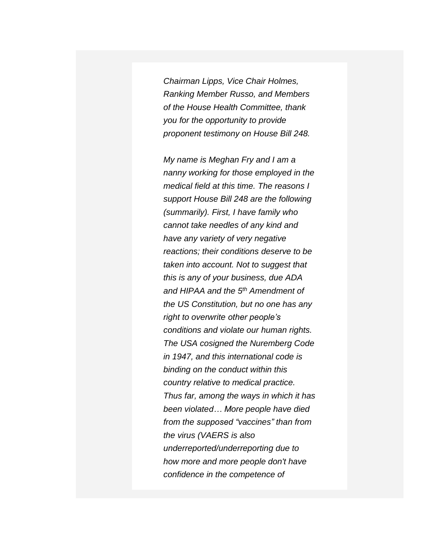*Chairman Lipps, Vice Chair Holmes, Ranking Member Russo, and Members of the House Health Committee, thank you for the opportunity to provide proponent testimony on House Bill 248.*

*My name is Meghan Fry and I am a nanny working for those employed in the medical field at this time. The reasons I support House Bill 248 are the following (summarily). First, I have family who cannot take needles of any kind and have any variety of very negative reactions; their conditions deserve to be taken into account. Not to suggest that this is any of your business, due ADA and HIPAA and the 5th Amendment of the US Constitution, but no one has any right to overwrite other people's conditions and violate our human rights. The USA cosigned the Nuremberg Code in 1947, and this international code is binding on the conduct within this country relative to medical practice. Thus far, among the ways in which it has been violated… More people have died from the supposed "vaccines" than from the virus (VAERS is also underreported/underreporting due to how more and more people don't have confidence in the competence of*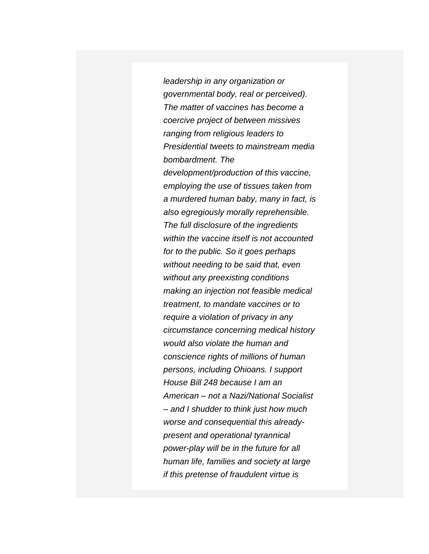*leadership in any organization or governmental body, real or perceived). The matter of vaccines has become a coercive project of between missives ranging from religious leaders to Presidential tweets to mainstream media bombardment. The development/production of this vaccine, employing the use of tissues taken from a murdered human baby, many in fact, is also egregiously morally reprehensible. The full disclosure of the ingredients within the vaccine itself is not accounted for to the public. So it goes perhaps without needing to be said that, even without any preexisting conditions making an injection not feasible medical treatment, to mandate vaccines or to require a violation of privacy in any circumstance concerning medical history would also violate the human and conscience rights of millions of human persons, including Ohioans. I support House Bill 248 because I am an American – not a Nazi/National Socialist – and I shudder to think just how much worse and consequential this alreadypresent and operational tyrannical power-play will be in the future for all human life, families and society at large if this pretense of fraudulent virtue is*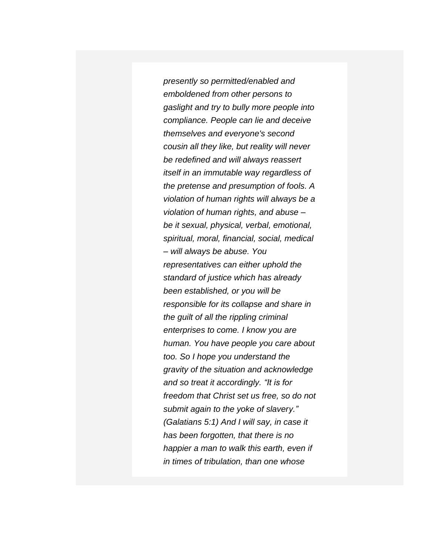*presently so permitted/enabled and emboldened from other persons to gaslight and try to bully more people into compliance. People can lie and deceive themselves and everyone's second cousin all they like, but reality will never be redefined and will always reassert itself in an immutable way regardless of the pretense and presumption of fools. A violation of human rights will always be a violation of human rights, and abuse – be it sexual, physical, verbal, emotional, spiritual, moral, financial, social, medical – will always be abuse. You representatives can either uphold the standard of justice which has already been established, or you will be responsible for its collapse and share in the guilt of all the rippling criminal enterprises to come. I know you are human. You have people you care about too. So I hope you understand the gravity of the situation and acknowledge and so treat it accordingly. "It is for freedom that Christ set us free, so do not submit again to the yoke of slavery." (Galatians 5:1) And I will say, in case it has been forgotten, that there is no happier a man to walk this earth, even if in times of tribulation, than one whose*